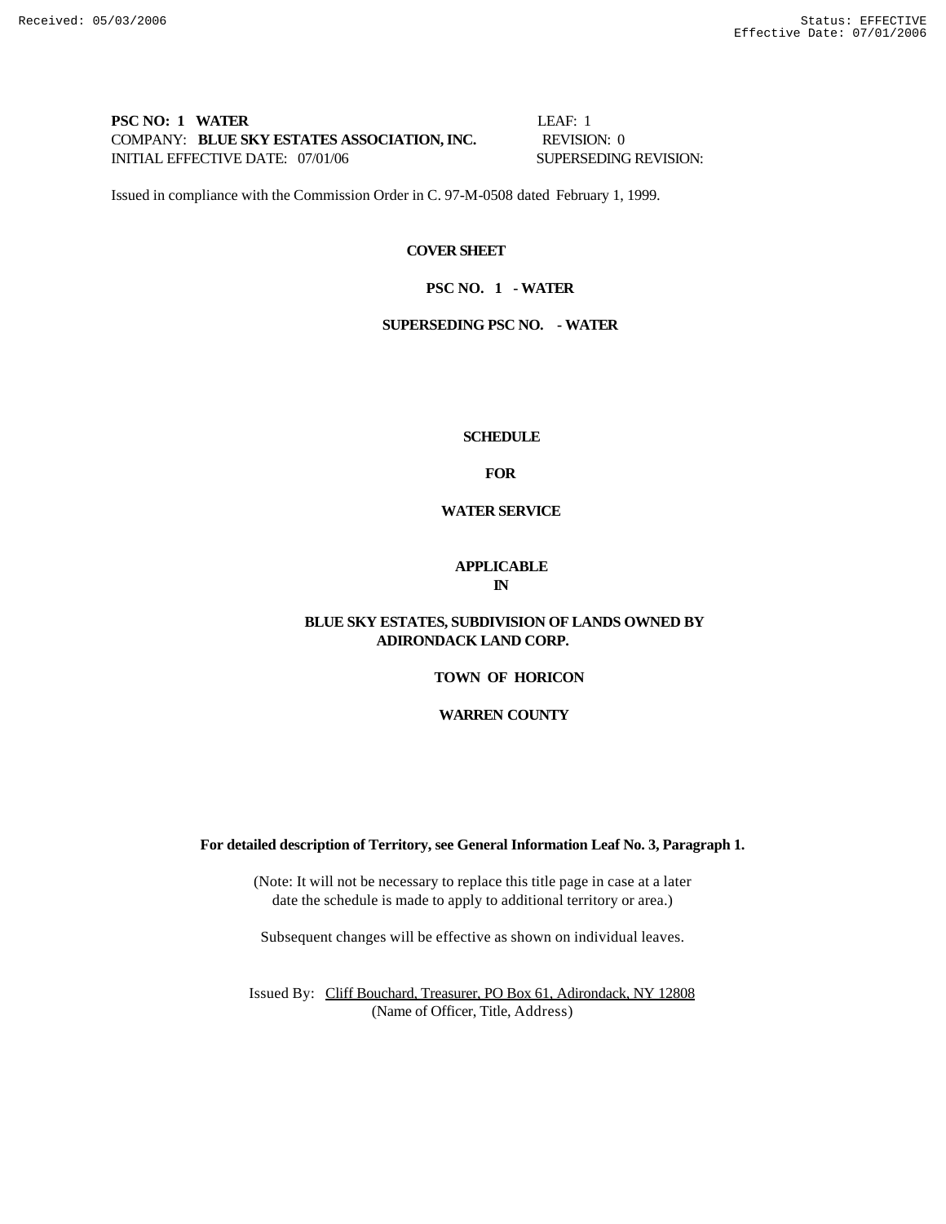# **PSC NO: 1 WATER LEAF: 1** COMPANY: **BLUE SKY ESTATES ASSOCIATION, INC.** REVISION: 0 INITIAL EFFECTIVE DATE: 07/01/06 SUPERSEDING REVISION:

Issued in compliance with the Commission Order in C. 97-M-0508 dated February 1, 1999.

## **COVER SHEET**

#### **PSC NO. 1 - WATER**

## **SUPERSEDING PSC NO. - WATER**

#### **SCHEDULE**

**FOR**

# **WATER SERVICE**

#### **APPLICABLE IN**

# **BLUE SKY ESTATES, SUBDIVISION OF LANDS OWNED BY ADIRONDACK LAND CORP.**

#### **TOWN OF HORICON**

## **WARREN COUNTY**

#### **For detailed description of Territory, see General Information Leaf No. 3, Paragraph 1.**

(Note: It will not be necessary to replace this title page in case at a later date the schedule is made to apply to additional territory or area.)

Subsequent changes will be effective as shown on individual leaves.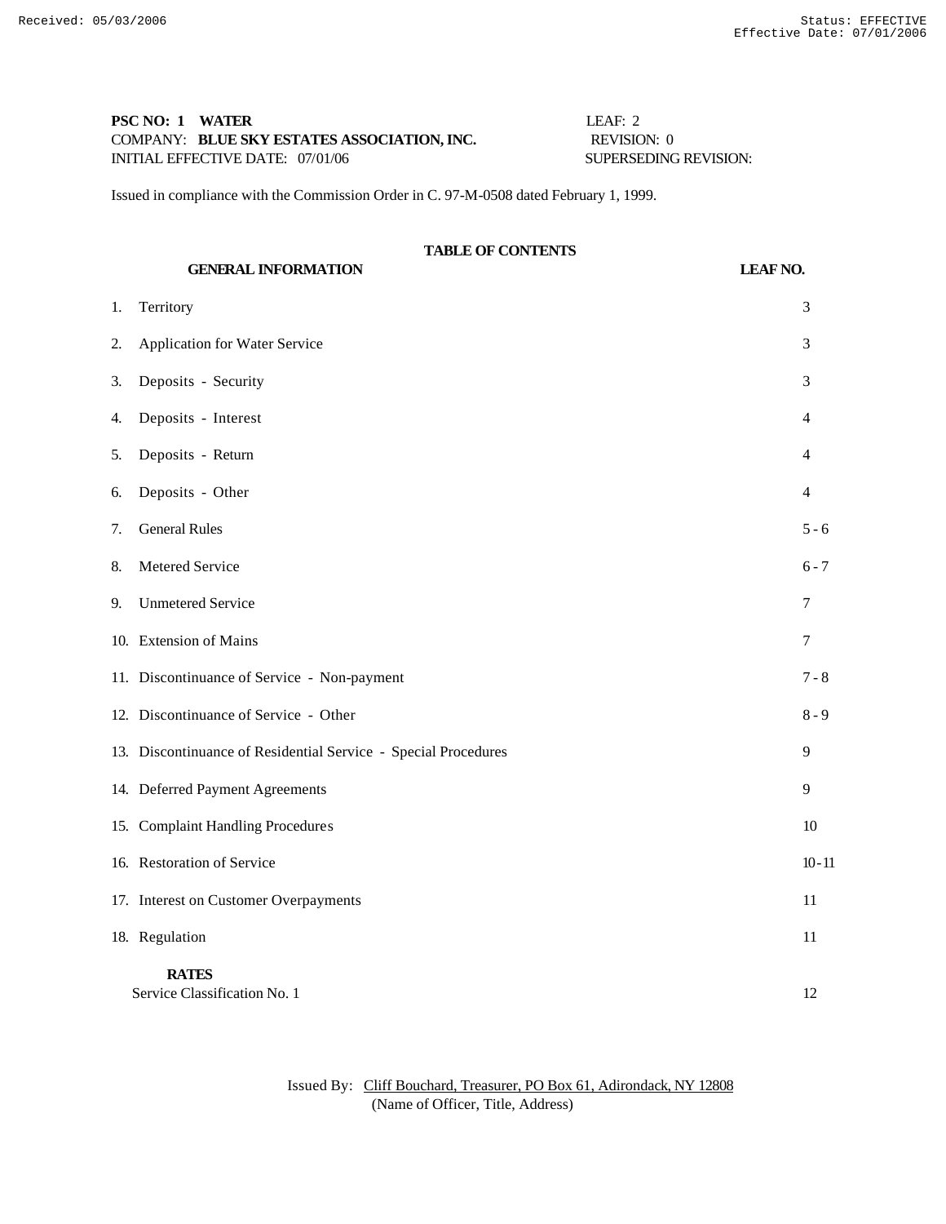# **PSC NO: 1 WATER** LEAF: 2 COMPANY: **BLUE SKY ESTATES ASSOCIATION, INC.** REVISION: 0 INITIAL EFFECTIVE DATE: 07/01/06 SUPERSEDING REVISION:

Issued in compliance with the Commission Order in C. 97-M-0508 dated February 1, 1999.

# **TABLE OF CONTENTS**

**GENERAL INFORMATION LEAF NO.** 1. Territory 3 2. Application for Water Service 3 3. Deposits - Security 3 4. Deposits - Interest 4 5. Deposits - Return 4 6. Deposits - Other 4 7. General Rules 5 - 6 8. Metered Service 6 - 7 9. Unmetered Service 7 10. Extension of Mains 7 11. Discontinuance of Service - Non-payment 7 - 8 12. Discontinuance of Service - Other 8 - 9 13. Discontinuance of Residential Service - Special Procedures 9 14. Deferred Payment Agreements 9 15. Complaint Handling Procedures 10 16. Restoration of Service 10 - 11 17. Interest on Customer Overpayments 11 18. Regulation 11 **RATES** Service Classification No. 1 12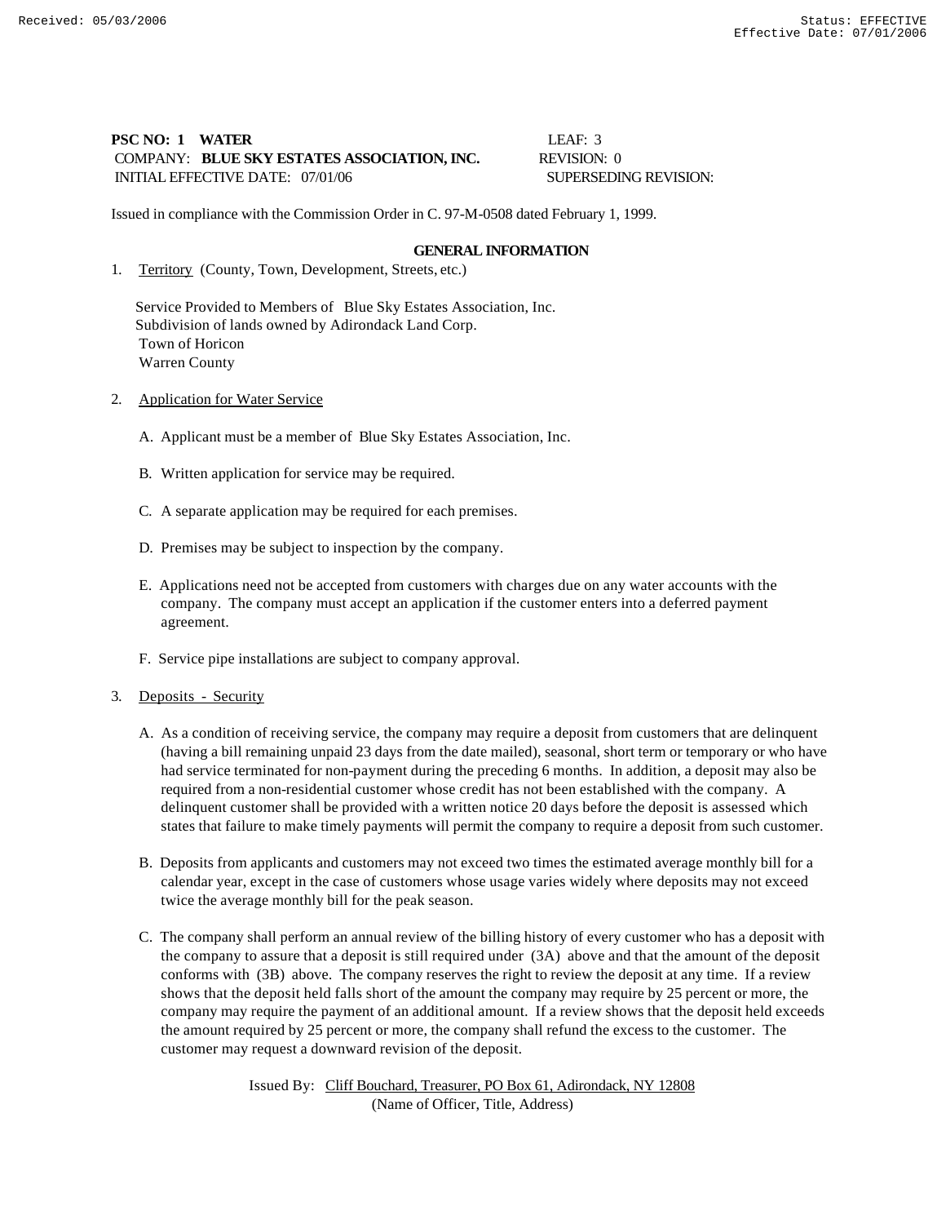# **PSC NO: 1 WATER LEAF: 3** COMPANY: **BLUE SKY ESTATES ASSOCIATION, INC.** REVISION: 0 INITIAL EFFECTIVE DATE:  $07/01/06$  SUPERSEDING REVISION:

Issued in compliance with the Commission Order in C. 97-M-0508 dated February 1, 1999.

#### **GENERAL INFORMATION**

1. Territory (County, Town, Development, Streets, etc.)

 Service Provided to Members of Blue Sky Estates Association, Inc. Subdivision of lands owned by Adirondack Land Corp. Town of Horicon Warren County

- 2. Application for Water Service
	- A. Applicant must be a member of Blue Sky Estates Association, Inc.
	- B. Written application for service may be required.
	- C. A separate application may be required for each premises.
	- D. Premises may be subject to inspection by the company.
	- E. Applications need not be accepted from customers with charges due on any water accounts with the company. The company must accept an application if the customer enters into a deferred payment agreement.
	- F. Service pipe installations are subject to company approval.
- 3. Deposits Security
	- A. As a condition of receiving service, the company may require a deposit from customers that are delinquent (having a bill remaining unpaid 23 days from the date mailed), seasonal, short term or temporary or who have had service terminated for non-payment during the preceding 6 months. In addition, a deposit may also be required from a non-residential customer whose credit has not been established with the company. A delinquent customer shall be provided with a written notice 20 days before the deposit is assessed which states that failure to make timely payments will permit the company to require a deposit from such customer.
	- B. Deposits from applicants and customers may not exceed two times the estimated average monthly bill for a calendar year, except in the case of customers whose usage varies widely where deposits may not exceed twice the average monthly bill for the peak season.
	- C. The company shall perform an annual review of the billing history of every customer who has a deposit with the company to assure that a deposit is still required under (3A) above and that the amount of the deposit conforms with (3B) above. The company reserves the right to review the deposit at any time. If a review shows that the deposit held falls short of the amount the company may require by 25 percent or more, the company may require the payment of an additional amount. If a review shows that the deposit held exceeds the amount required by 25 percent or more, the company shall refund the excess to the customer. The customer may request a downward revision of the deposit.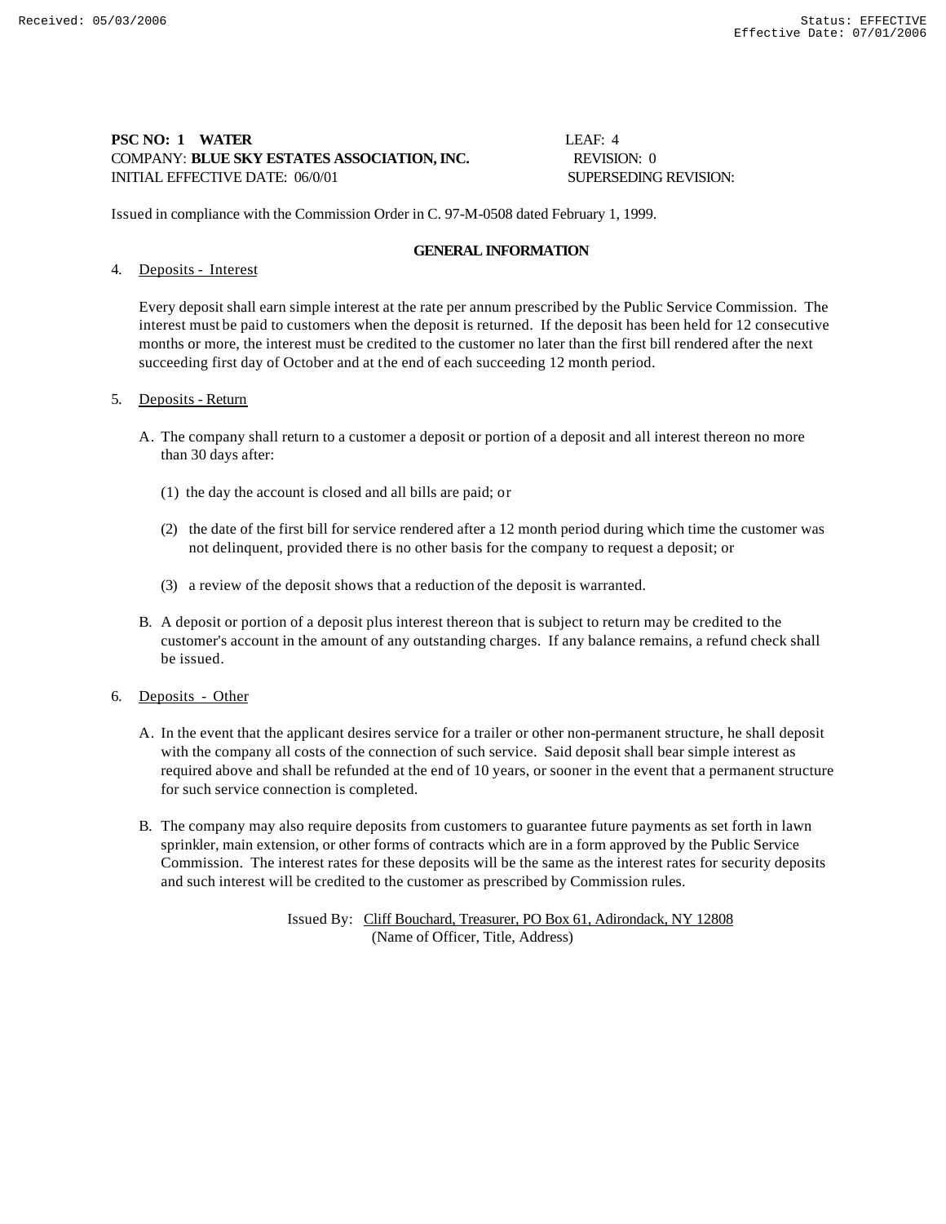# **PSC NO: 1 WATER LEAF: 4** COMPANY: **BLUE SKY ESTATES ASSOCIATION, INC.** REVISION: 0 INITIAL EFFECTIVE DATE: 06/0/01 SUPERSEDING REVISION:

Issued in compliance with the Commission Order in C. 97-M-0508 dated February 1, 1999.

## **GENERAL INFORMATION**

## 4. Deposits - Interest

Every deposit shall earn simple interest at the rate per annum prescribed by the Public Service Commission. The interest must be paid to customers when the deposit is returned. If the deposit has been held for 12 consecutive months or more, the interest must be credited to the customer no later than the first bill rendered after the next succeeding first day of October and at the end of each succeeding 12 month period.

## 5. Deposits - Return

- A. The company shall return to a customer a deposit or portion of a deposit and all interest thereon no more than 30 days after:
	- (1) the day the account is closed and all bills are paid; or
	- (2) the date of the first bill for service rendered after a 12 month period during which time the customer was not delinquent, provided there is no other basis for the company to request a deposit; or
	- (3) a review of the deposit shows that a reduction of the deposit is warranted.
- B. A deposit or portion of a deposit plus interest thereon that is subject to return may be credited to the customer's account in the amount of any outstanding charges. If any balance remains, a refund check shall be issued.
- 6. Deposits Other
	- A. In the event that the applicant desires service for a trailer or other non-permanent structure, he shall deposit with the company all costs of the connection of such service. Said deposit shall bear simple interest as required above and shall be refunded at the end of 10 years, or sooner in the event that a permanent structure for such service connection is completed.
	- B. The company may also require deposits from customers to guarantee future payments as set forth in lawn sprinkler, main extension, or other forms of contracts which are in a form approved by the Public Service Commission. The interest rates for these deposits will be the same as the interest rates for security deposits and such interest will be credited to the customer as prescribed by Commission rules.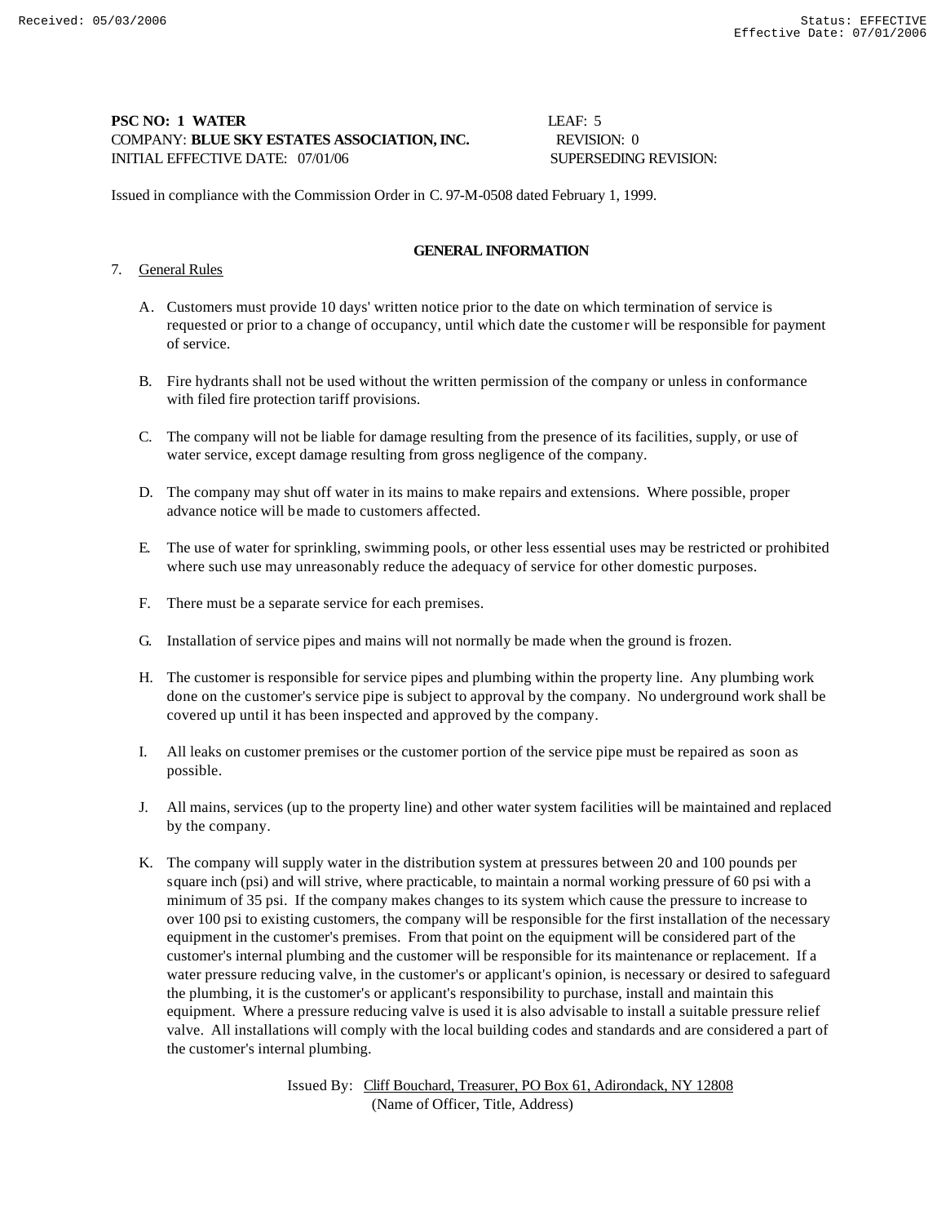# **PSC NO: 1 WATER** LEAF: 5 COMPANY: **BLUE SKY ESTATES ASSOCIATION, INC.** REVISION: 0 INITIAL EFFECTIVE DATE: 07/01/06 SUPERSEDING REVISION:

Issued in compliance with the Commission Order in C. 97-M-0508 dated February 1, 1999.

# **GENERAL INFORMATION**

# 7. General Rules

- A. Customers must provide 10 days' written notice prior to the date on which termination of service is requested or prior to a change of occupancy, until which date the customer will be responsible for payment of service.
- B. Fire hydrants shall not be used without the written permission of the company or unless in conformance with filed fire protection tariff provisions.
- C. The company will not be liable for damage resulting from the presence of its facilities, supply, or use of water service, except damage resulting from gross negligence of the company.
- D. The company may shut off water in its mains to make repairs and extensions. Where possible, proper advance notice will be made to customers affected.
- E. The use of water for sprinkling, swimming pools, or other less essential uses may be restricted or prohibited where such use may unreasonably reduce the adequacy of service for other domestic purposes.
- F. There must be a separate service for each premises.
- G. Installation of service pipes and mains will not normally be made when the ground is frozen.
- H. The customer is responsible for service pipes and plumbing within the property line. Any plumbing work done on the customer's service pipe is subject to approval by the company. No underground work shall be covered up until it has been inspected and approved by the company.
- I. All leaks on customer premises or the customer portion of the service pipe must be repaired as soon as possible.
- J. All mains, services (up to the property line) and other water system facilities will be maintained and replaced by the company.
- K. The company will supply water in the distribution system at pressures between 20 and 100 pounds per square inch (psi) and will strive, where practicable, to maintain a normal working pressure of 60 psi with a minimum of 35 psi. If the company makes changes to its system which cause the pressure to increase to over 100 psi to existing customers, the company will be responsible for the first installation of the necessary equipment in the customer's premises. From that point on the equipment will be considered part of the customer's internal plumbing and the customer will be responsible for its maintenance or replacement. If a water pressure reducing valve, in the customer's or applicant's opinion, is necessary or desired to safeguard the plumbing, it is the customer's or applicant's responsibility to purchase, install and maintain this equipment. Where a pressure reducing valve is used it is also advisable to install a suitable pressure relief valve. All installations will comply with the local building codes and standards and are considered a part of the customer's internal plumbing.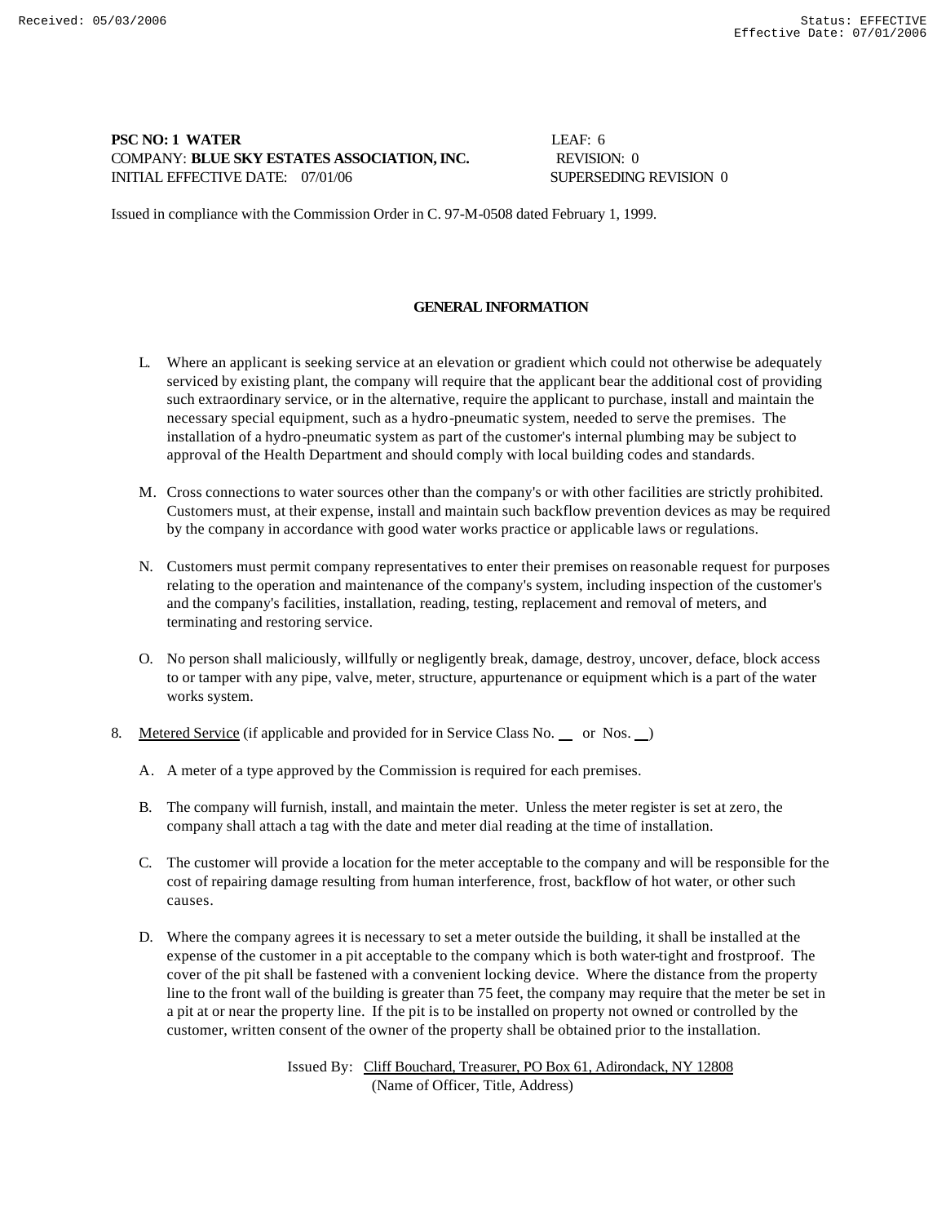# **PSC NO: 1 WATER** LEAF: 6 COMPANY: **BLUE SKY ESTATES ASSOCIATION, INC.** REVISION: 0 INITIAL EFFECTIVE DATE: 07/01/06 SUPERSEDING REVISION 0

Issued in compliance with the Commission Order in C. 97-M-0508 dated February 1, 1999.

# **GENERAL INFORMATION**

- L. Where an applicant is seeking service at an elevation or gradient which could not otherwise be adequately serviced by existing plant, the company will require that the applicant bear the additional cost of providing such extraordinary service, or in the alternative, require the applicant to purchase, install and maintain the necessary special equipment, such as a hydro-pneumatic system, needed to serve the premises. The installation of a hydro-pneumatic system as part of the customer's internal plumbing may be subject to approval of the Health Department and should comply with local building codes and standards.
- M. Cross connections to water sources other than the company's or with other facilities are strictly prohibited. Customers must, at their expense, install and maintain such backflow prevention devices as may be required by the company in accordance with good water works practice or applicable laws or regulations.
- N. Customers must permit company representatives to enter their premises on reasonable request for purposes relating to the operation and maintenance of the company's system, including inspection of the customer's and the company's facilities, installation, reading, testing, replacement and removal of meters, and terminating and restoring service.
- O. No person shall maliciously, willfully or negligently break, damage, destroy, uncover, deface, block access to or tamper with any pipe, valve, meter, structure, appurtenance or equipment which is a part of the water works system.
- 8. Metered Service (if applicable and provided for in Service Class No. or Nos. )
	- A. A meter of a type approved by the Commission is required for each premises.
	- B. The company will furnish, install, and maintain the meter. Unless the meter register is set at zero, the company shall attach a tag with the date and meter dial reading at the time of installation.
	- C. The customer will provide a location for the meter acceptable to the company and will be responsible for the cost of repairing damage resulting from human interference, frost, backflow of hot water, or other such causes.
	- D. Where the company agrees it is necessary to set a meter outside the building, it shall be installed at the expense of the customer in a pit acceptable to the company which is both water-tight and frostproof. The cover of the pit shall be fastened with a convenient locking device. Where the distance from the property line to the front wall of the building is greater than 75 feet, the company may require that the meter be set in a pit at or near the property line. If the pit is to be installed on property not owned or controlled by the customer, written consent of the owner of the property shall be obtained prior to the installation.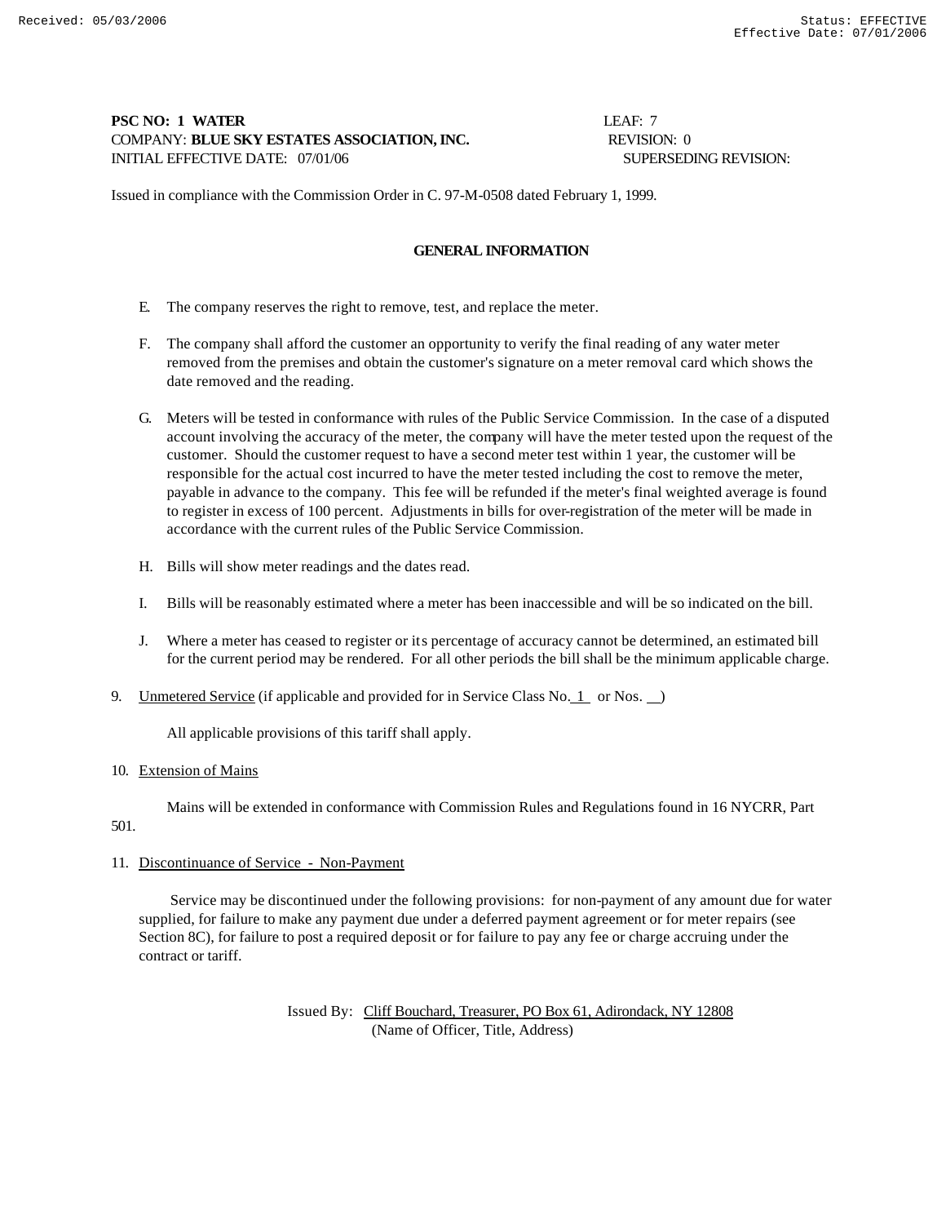# **PSC NO: 1 WATER LEAF: 7** COMPANY: **BLUE SKY ESTATES ASSOCIATION, INC.** REVISION: 0 INITIAL EFFECTIVE DATE: 07/01/06 SUPERSEDING REVISION:

Issued in compliance with the Commission Order in C. 97-M-0508 dated February 1, 1999.

# **GENERAL INFORMATION**

- E. The company reserves the right to remove, test, and replace the meter.
- F. The company shall afford the customer an opportunity to verify the final reading of any water meter removed from the premises and obtain the customer's signature on a meter removal card which shows the date removed and the reading.
- G. Meters will be tested in conformance with rules of the Public Service Commission. In the case of a disputed account involving the accuracy of the meter, the company will have the meter tested upon the request of the customer. Should the customer request to have a second meter test within 1 year, the customer will be responsible for the actual cost incurred to have the meter tested including the cost to remove the meter, payable in advance to the company. This fee will be refunded if the meter's final weighted average is found to register in excess of 100 percent. Adjustments in bills for over-registration of the meter will be made in accordance with the current rules of the Public Service Commission.
- H. Bills will show meter readings and the dates read.
- I. Bills will be reasonably estimated where a meter has been inaccessible and will be so indicated on the bill.
- J. Where a meter has ceased to register or its percentage of accuracy cannot be determined, an estimated bill for the current period may be rendered. For all other periods the bill shall be the minimum applicable charge.
- 9. Unmetered Service (if applicable and provided for in Service Class No. 1 or Nos.  $\Box$ )

All applicable provisions of this tariff shall apply.

#### 10. Extension of Mains

Mains will be extended in conformance with Commission Rules and Regulations found in 16 NYCRR, Part

# 501.

# 11. Discontinuance of Service - Non-Payment

 Service may be discontinued under the following provisions: for non-payment of any amount due for water supplied, for failure to make any payment due under a deferred payment agreement or for meter repairs (see Section 8C), for failure to post a required deposit or for failure to pay any fee or charge accruing under the contract or tariff.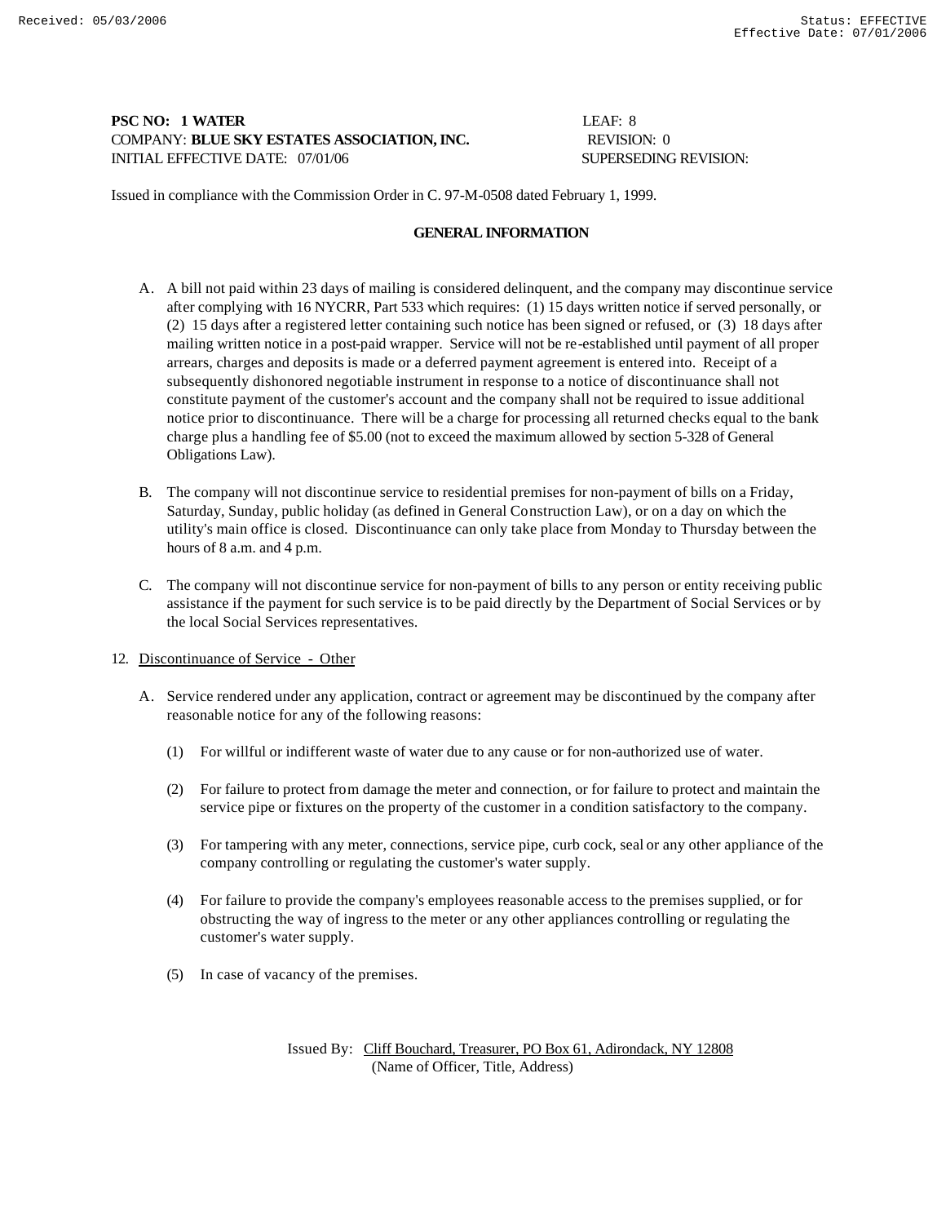# **PSC NO: 1 WATER** LEAF: 8 COMPANY: **BLUE SKY ESTATES ASSOCIATION, INC.** REVISION: 0 INITIAL EFFECTIVE DATE: 07/01/06 SUPERSEDING REVISION:

Issued in compliance with the Commission Order in C. 97-M-0508 dated February 1, 1999.

## **GENERAL INFORMATION**

- A. A bill not paid within 23 days of mailing is considered delinquent, and the company may discontinue service after complying with 16 NYCRR, Part 533 which requires: (1) 15 days written notice if served personally, or (2) 15 days after a registered letter containing such notice has been signed or refused, or (3) 18 days after mailing written notice in a post-paid wrapper. Service will not be re-established until payment of all proper arrears, charges and deposits is made or a deferred payment agreement is entered into. Receipt of a subsequently dishonored negotiable instrument in response to a notice of discontinuance shall not constitute payment of the customer's account and the company shall not be required to issue additional notice prior to discontinuance. There will be a charge for processing all returned checks equal to the bank charge plus a handling fee of \$5.00 (not to exceed the maximum allowed by section 5-328 of General Obligations Law).
- B. The company will not discontinue service to residential premises for non-payment of bills on a Friday, Saturday, Sunday, public holiday (as defined in General Construction Law), or on a day on which the utility's main office is closed. Discontinuance can only take place from Monday to Thursday between the hours of 8 a.m. and 4 p.m.
- C. The company will not discontinue service for non-payment of bills to any person or entity receiving public assistance if the payment for such service is to be paid directly by the Department of Social Services or by the local Social Services representatives.
- 12. Discontinuance of Service Other
	- A. Service rendered under any application, contract or agreement may be discontinued by the company after reasonable notice for any of the following reasons:
		- (1) For willful or indifferent waste of water due to any cause or for non-authorized use of water.
		- (2) For failure to protect from damage the meter and connection, or for failure to protect and maintain the service pipe or fixtures on the property of the customer in a condition satisfactory to the company.
		- (3) For tampering with any meter, connections, service pipe, curb cock, seal or any other appliance of the company controlling or regulating the customer's water supply.
		- (4) For failure to provide the company's employees reasonable access to the premises supplied, or for obstructing the way of ingress to the meter or any other appliances controlling or regulating the customer's water supply.
		- (5) In case of vacancy of the premises.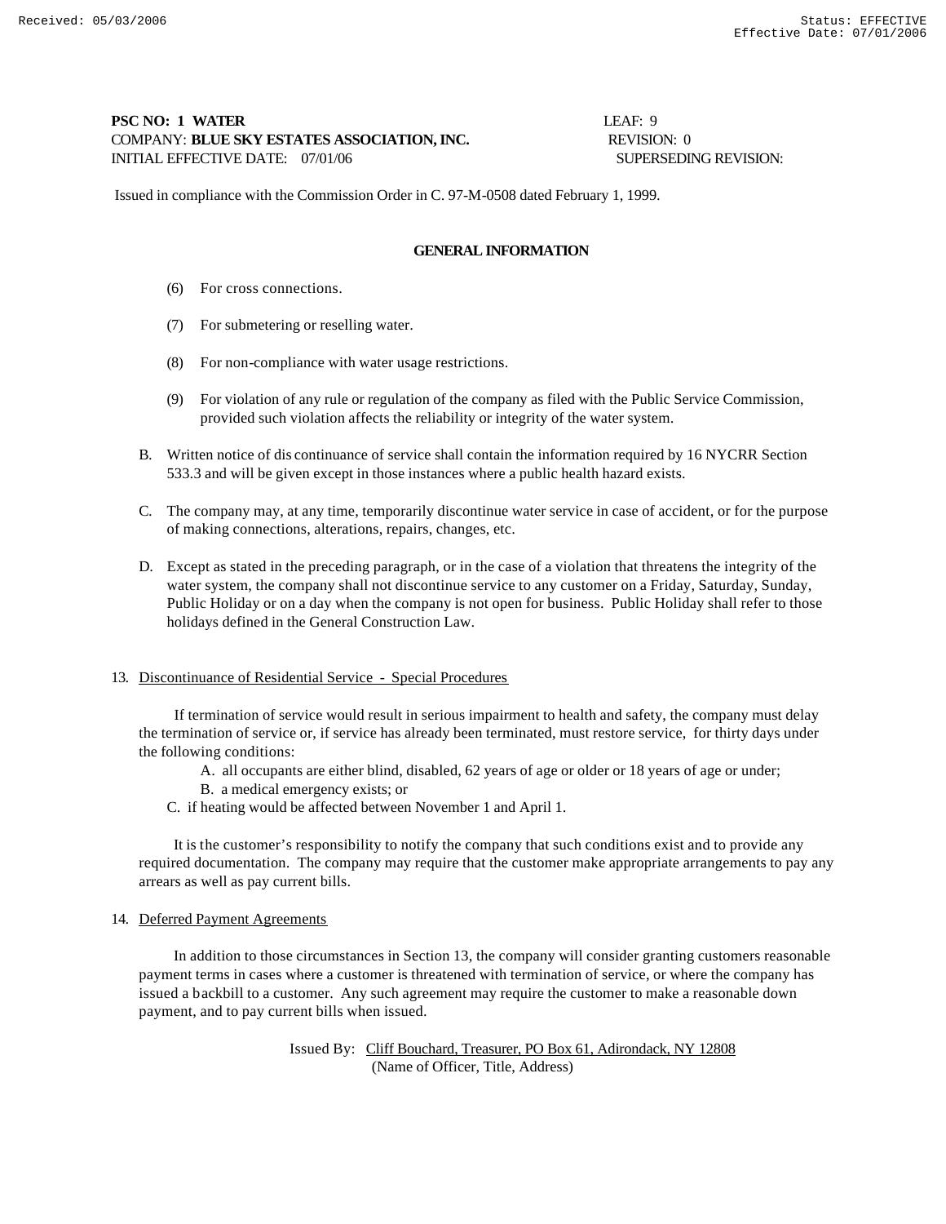# **PSC NO: 1 WATER** LEAF: 9 COMPANY: **BLUE SKY ESTATES ASSOCIATION, INC.** REVISION: 0 INITIAL EFFECTIVE DATE: 07/01/06 SUPERSEDING REVISION:

Issued in compliance with the Commission Order in C. 97-M-0508 dated February 1, 1999.

## **GENERAL INFORMATION**

- (6) For cross connections.
- (7) For submetering or reselling water.
- (8) For non-compliance with water usage restrictions.
- (9) For violation of any rule or regulation of the company as filed with the Public Service Commission, provided such violation affects the reliability or integrity of the water system.
- B. Written notice of dis continuance of service shall contain the information required by 16 NYCRR Section 533.3 and will be given except in those instances where a public health hazard exists.
- C. The company may, at any time, temporarily discontinue water service in case of accident, or for the purpose of making connections, alterations, repairs, changes, etc.
- D. Except as stated in the preceding paragraph, or in the case of a violation that threatens the integrity of the water system, the company shall not discontinue service to any customer on a Friday, Saturday, Sunday, Public Holiday or on a day when the company is not open for business. Public Holiday shall refer to those holidays defined in the General Construction Law.

#### 13. Discontinuance of Residential Service - Special Procedures

 If termination of service would result in serious impairment to health and safety, the company must delay the termination of service or, if service has already been terminated, must restore service, for thirty days under the following conditions:

- A. all occupants are either blind, disabled, 62 years of age or older or 18 years of age or under;
- B. a medical emergency exists; or
- C. if heating would be affected between November 1 and April 1.

 It is the customer's responsibility to notify the company that such conditions exist and to provide any required documentation. The company may require that the customer make appropriate arrangements to pay any arrears as well as pay current bills.

#### 14. Deferred Payment Agreements

 In addition to those circumstances in Section 13, the company will consider granting customers reasonable payment terms in cases where a customer is threatened with termination of service, or where the company has issued a backbill to a customer. Any such agreement may require the customer to make a reasonable down payment, and to pay current bills when issued.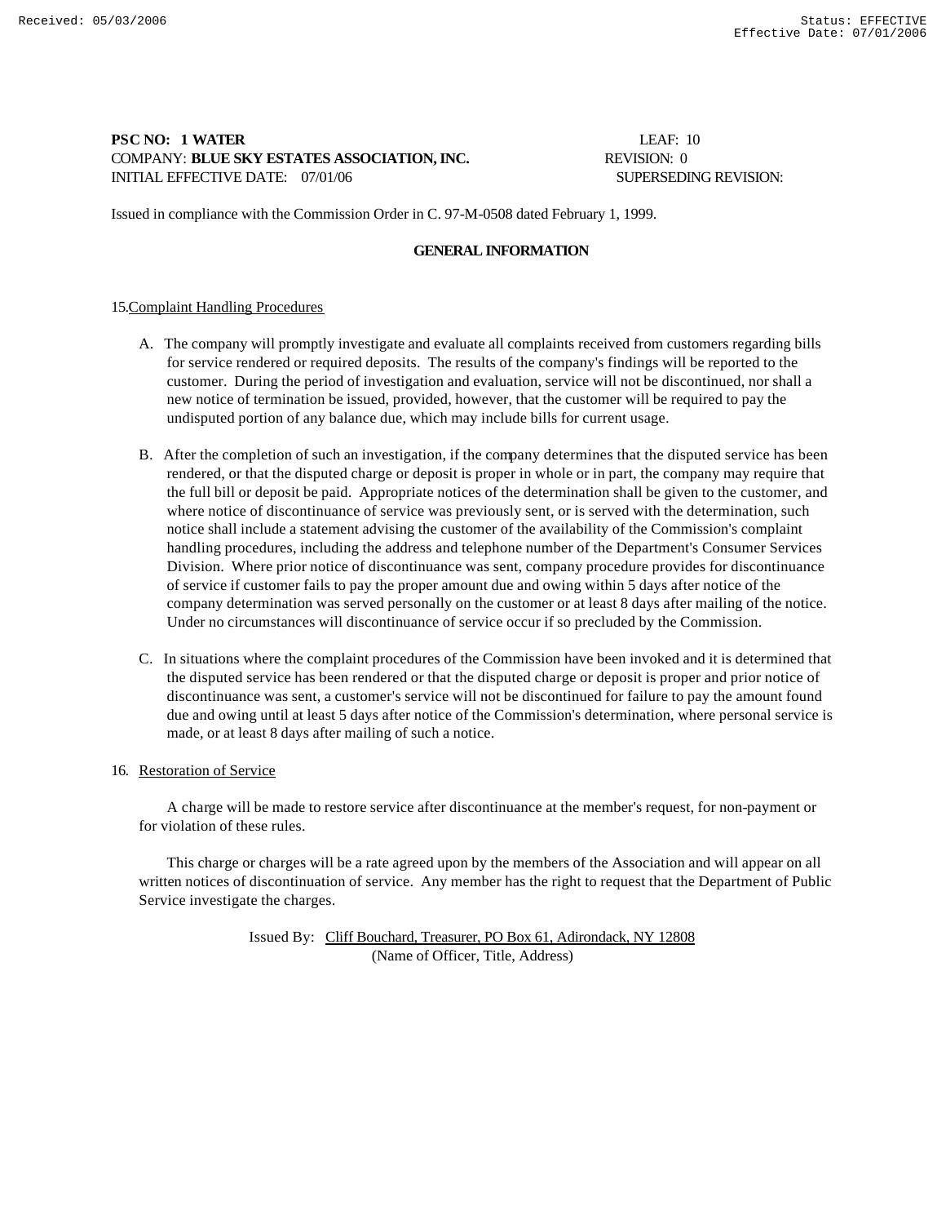# **PSC NO: 1 WATER** LEAF: 10 COMPANY: **BLUE SKY ESTATES ASSOCIATION, INC.** REVISION: 0 INITIAL EFFECTIVE DATE:  $07/01/06$  SUPERSEDING REVISION:

Issued in compliance with the Commission Order in C. 97-M-0508 dated February 1, 1999.

## **GENERAL INFORMATION**

### 15.Complaint Handling Procedures

- A. The company will promptly investigate and evaluate all complaints received from customers regarding bills for service rendered or required deposits. The results of the company's findings will be reported to the customer. During the period of investigation and evaluation, service will not be discontinued, nor shall a new notice of termination be issued, provided, however, that the customer will be required to pay the undisputed portion of any balance due, which may include bills for current usage.
- B. After the completion of such an investigation, if the company determines that the disputed service has been rendered, or that the disputed charge or deposit is proper in whole or in part, the company may require that the full bill or deposit be paid. Appropriate notices of the determination shall be given to the customer, and where notice of discontinuance of service was previously sent, or is served with the determination, such notice shall include a statement advising the customer of the availability of the Commission's complaint handling procedures, including the address and telephone number of the Department's Consumer Services Division. Where prior notice of discontinuance was sent, company procedure provides for discontinuance of service if customer fails to pay the proper amount due and owing within 5 days after notice of the company determination was served personally on the customer or at least 8 days after mailing of the notice. Under no circumstances will discontinuance of service occur if so precluded by the Commission.
- C. In situations where the complaint procedures of the Commission have been invoked and it is determined that the disputed service has been rendered or that the disputed charge or deposit is proper and prior notice of discontinuance was sent, a customer's service will not be discontinued for failure to pay the amount found due and owing until at least 5 days after notice of the Commission's determination, where personal service is made, or at least 8 days after mailing of such a notice.
- 16. Restoration of Service

 A charge will be made to restore service after discontinuance at the member's request, for non-payment or for violation of these rules.

 This charge or charges will be a rate agreed upon by the members of the Association and will appear on all written notices of discontinuation of service. Any member has the right to request that the Department of Public Service investigate the charges.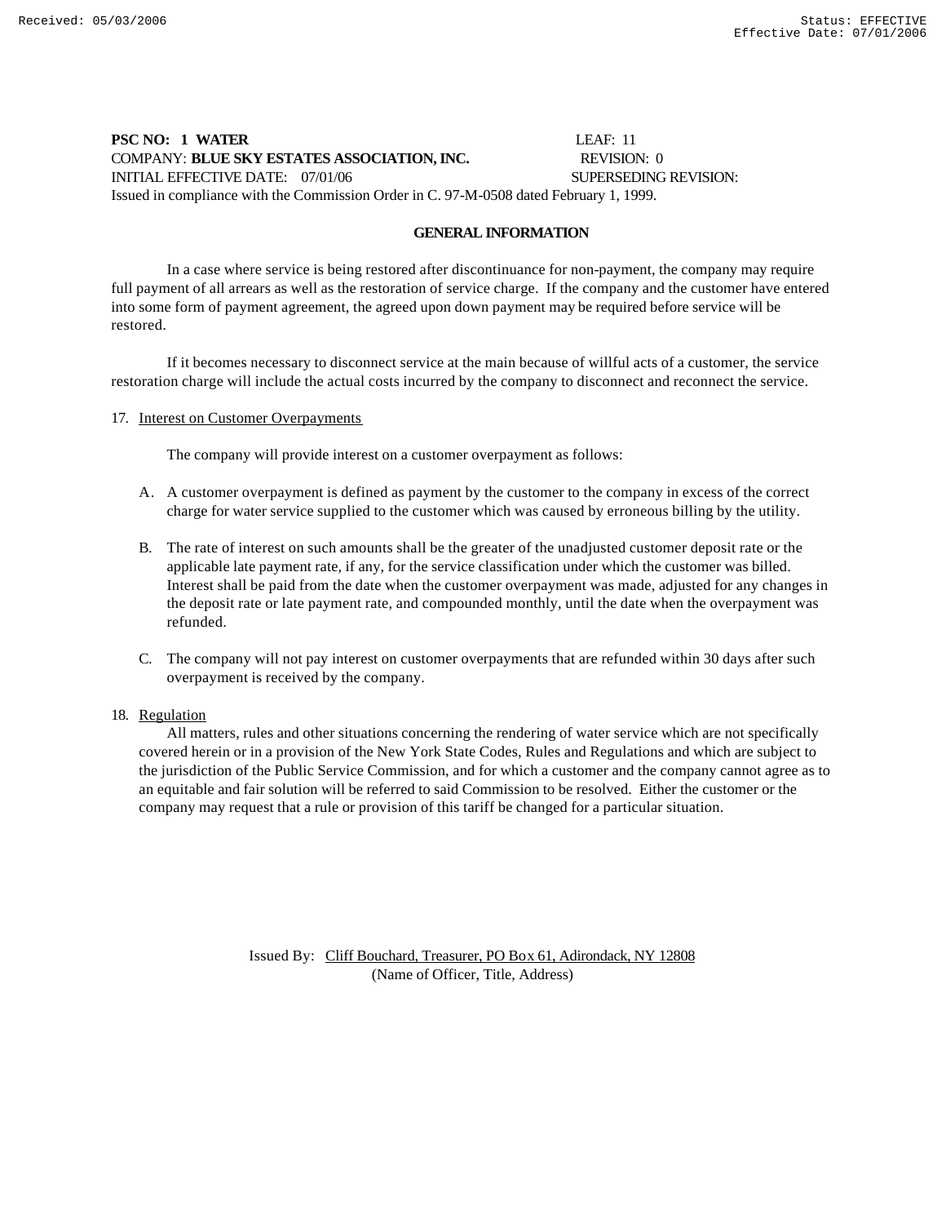# **PSC NO: 1 WATER** LEAF: 11 COMPANY: **BLUE SKY ESTATES ASSOCIATION, INC.** REVISION: 0 INITIAL EFFECTIVE DATE: 07/01/06 SUPERSEDING REVISION: Issued in compliance with the Commission Order in C. 97-M-0508 dated February 1, 1999.

#### **GENERAL INFORMATION**

In a case where service is being restored after discontinuance for non-payment, the company may require full payment of all arrears as well as the restoration of service charge. If the company and the customer have entered into some form of payment agreement, the agreed upon down payment may be required before service will be restored.

If it becomes necessary to disconnect service at the main because of willful acts of a customer, the service restoration charge will include the actual costs incurred by the company to disconnect and reconnect the service.

#### 17. Interest on Customer Overpayments

The company will provide interest on a customer overpayment as follows:

- A. A customer overpayment is defined as payment by the customer to the company in excess of the correct charge for water service supplied to the customer which was caused by erroneous billing by the utility.
- B. The rate of interest on such amounts shall be the greater of the unadjusted customer deposit rate or the applicable late payment rate, if any, for the service classification under which the customer was billed. Interest shall be paid from the date when the customer overpayment was made, adjusted for any changes in the deposit rate or late payment rate, and compounded monthly, until the date when the overpayment was refunded.
- C. The company will not pay interest on customer overpayments that are refunded within 30 days after such overpayment is received by the company.

#### 18. Regulation

 All matters, rules and other situations concerning the rendering of water service which are not specifically covered herein or in a provision of the New York State Codes, Rules and Regulations and which are subject to the jurisdiction of the Public Service Commission, and for which a customer and the company cannot agree as to an equitable and fair solution will be referred to said Commission to be resolved. Either the customer or the company may request that a rule or provision of this tariff be changed for a particular situation.